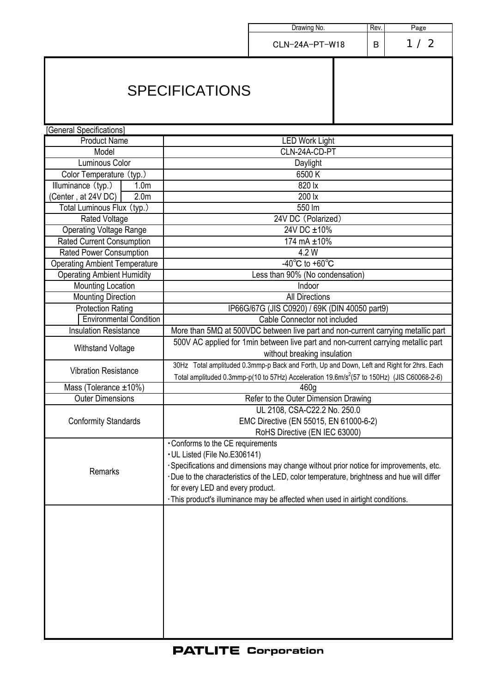|                                         |                                                                                                                                                                                                     | Drawing No.                                                                                                                                                                                                                                                           | Rev. | Page |  |
|-----------------------------------------|-----------------------------------------------------------------------------------------------------------------------------------------------------------------------------------------------------|-----------------------------------------------------------------------------------------------------------------------------------------------------------------------------------------------------------------------------------------------------------------------|------|------|--|
|                                         |                                                                                                                                                                                                     | CLN-24A-PT-W18                                                                                                                                                                                                                                                        | B    | 1/2  |  |
| <b>SPECIFICATIONS</b>                   |                                                                                                                                                                                                     |                                                                                                                                                                                                                                                                       |      |      |  |
| [General Specifications]                |                                                                                                                                                                                                     |                                                                                                                                                                                                                                                                       |      |      |  |
| <b>Product Name</b>                     | <b>LED Work Light</b>                                                                                                                                                                               |                                                                                                                                                                                                                                                                       |      |      |  |
| Model                                   | CLN-24A-CD-PT                                                                                                                                                                                       |                                                                                                                                                                                                                                                                       |      |      |  |
| Luminous Color                          | Daylight                                                                                                                                                                                            |                                                                                                                                                                                                                                                                       |      |      |  |
| Color Temperature (typ.)                | 6500K                                                                                                                                                                                               |                                                                                                                                                                                                                                                                       |      |      |  |
| Illuminance (typ.)<br>1.0 <sub>m</sub>  | 820 lx                                                                                                                                                                                              |                                                                                                                                                                                                                                                                       |      |      |  |
| (Center, at 24V DC)<br>2.0 <sub>m</sub> | 200 lx                                                                                                                                                                                              |                                                                                                                                                                                                                                                                       |      |      |  |
| Total Luminous Flux (typ.)              | 550 lm                                                                                                                                                                                              |                                                                                                                                                                                                                                                                       |      |      |  |
| <b>Rated Voltage</b>                    | 24V DC (Polarized)                                                                                                                                                                                  |                                                                                                                                                                                                                                                                       |      |      |  |
| <b>Operating Voltage Range</b>          | 24V DC ±10%                                                                                                                                                                                         |                                                                                                                                                                                                                                                                       |      |      |  |
| Rated Current Consumption               | 174 mA ±10%                                                                                                                                                                                         |                                                                                                                                                                                                                                                                       |      |      |  |
| <b>Rated Power Consumption</b>          | 4.2 W                                                                                                                                                                                               |                                                                                                                                                                                                                                                                       |      |      |  |
| <b>Operating Ambient Temperature</b>    | $-40^{\circ}$ C to $+60^{\circ}$ C                                                                                                                                                                  |                                                                                                                                                                                                                                                                       |      |      |  |
| <b>Operating Ambient Humidity</b>       | Less than 90% (No condensation)                                                                                                                                                                     |                                                                                                                                                                                                                                                                       |      |      |  |
| <b>Mounting Location</b>                | Indoor                                                                                                                                                                                              |                                                                                                                                                                                                                                                                       |      |      |  |
| <b>Mounting Direction</b>               | <b>All Directions</b>                                                                                                                                                                               |                                                                                                                                                                                                                                                                       |      |      |  |
| <b>Protection Rating</b>                | IP66G/67G (JIS C0920) / 69K (DIN 40050 part9)                                                                                                                                                       |                                                                                                                                                                                                                                                                       |      |      |  |
| <b>Environmental Condition</b>          | Cable Connector not included                                                                                                                                                                        |                                                                                                                                                                                                                                                                       |      |      |  |
| <b>Insulation Resistance</b>            | More than $5M\Omega$ at $500VDC$ between live part and non-current carrying metallic part                                                                                                           |                                                                                                                                                                                                                                                                       |      |      |  |
| <b>Withstand Voltage</b>                | 500V AC applied for 1min between live part and non-current carrying metallic part<br>without breaking insulation                                                                                    |                                                                                                                                                                                                                                                                       |      |      |  |
| <b>Vibration Resistance</b>             | 30Hz Total amplituded 0.3mmp-p Back and Forth, Up and Down, Left and Right for 2hrs. Each<br>Total amplituded 0.3mmp-p(10 to 57Hz) Acceleration 19.6m/s <sup>2</sup> (57 to 150Hz) (JIS C60068-2-6) |                                                                                                                                                                                                                                                                       |      |      |  |
| Mass (Tolerance ±10%)                   | 460g                                                                                                                                                                                                |                                                                                                                                                                                                                                                                       |      |      |  |
| <b>Outer Dimensions</b>                 | Refer to the Outer Dimension Drawing                                                                                                                                                                |                                                                                                                                                                                                                                                                       |      |      |  |
| <b>Conformity Standards</b>             | UL 2108, CSA-C22.2 No. 250.0<br>EMC Directive (EN 55015, EN 61000-6-2)<br>RoHS Directive (EN IEC 63000)                                                                                             |                                                                                                                                                                                                                                                                       |      |      |  |
| Remarks                                 | • Conforms to the CE requirements<br>• UL Listed (File No.E306141)<br>for every LED and every product.                                                                                              | · Specifications and dimensions may change without prior notice for improvements, etc.<br>·Due to the characteristics of the LED, color temperature, brightness and hue will differ<br>· This product's illuminance may be affected when used in airtight conditions. |      |      |  |
|                                         |                                                                                                                                                                                                     |                                                                                                                                                                                                                                                                       |      |      |  |